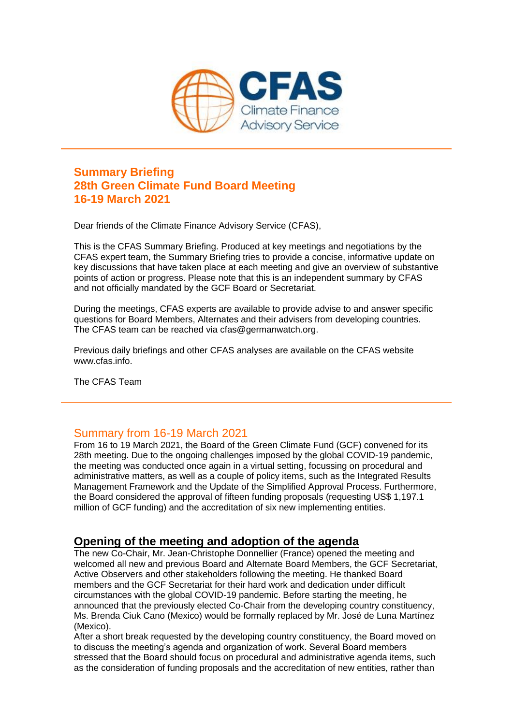

#### **Summary Briefing 28th Green Climate Fund Board Meeting 16-19 March 2021**

Dear friends of the Climate Finance Advisory Service (CFAS),

This is the CFAS Summary Briefing. Produced at key meetings and negotiations by the CFAS expert team, the Summary Briefing tries to provide a concise, informative update on key discussions that have taken place at each meeting and give an overview of substantive points of action or progress. Please note that this is an independent summary by CFAS and not officially mandated by the GCF Board or Secretariat.

During the meetings, CFAS experts are available to provide advise to and answer specific questions for Board Members, Alternates and their advisers from developing countries. The CFAS team can be reached via cfas@germanwatch.org.

Previous daily briefings and other CFAS analyses are available on the CFAS website www.cfas.info.

The CFAS Team

#### Summary from 16-19 March 2021

From 16 to 19 March 2021, the Board of the Green Climate Fund (GCF) convened for its 28th meeting. Due to the ongoing challenges imposed by the global COVID-19 pandemic, the meeting was conducted once again in a virtual setting, focussing on procedural and administrative matters, as well as a couple of policy items, such as the Integrated Results Management Framework and the Update of the Simplified Approval Process. Furthermore, the Board considered the approval of fifteen funding proposals (requesting US\$ 1,197.1 million of GCF funding) and the accreditation of six new implementing entities.

#### **Opening of the meeting and adoption of the agenda**

The new Co-Chair, Mr. Jean-Christophe Donnellier (France) opened the meeting and welcomed all new and previous Board and Alternate Board Members, the GCF Secretariat, Active Observers and other stakeholders following the meeting. He thanked Board members and the GCF Secretariat for their hard work and dedication under difficult circumstances with the global COVID-19 pandemic. Before starting the meeting, he announced that the previously elected Co-Chair from the developing country constituency, Ms. Brenda Ciuk Cano (Mexico) would be formally replaced by Mr. José de Luna Martínez (Mexico).

After a short break requested by the developing country constituency, the Board moved on to discuss the meeting's agenda and organization of work. Several Board members stressed that the Board should focus on procedural and administrative agenda items, such as the consideration of funding proposals and the accreditation of new entities, rather than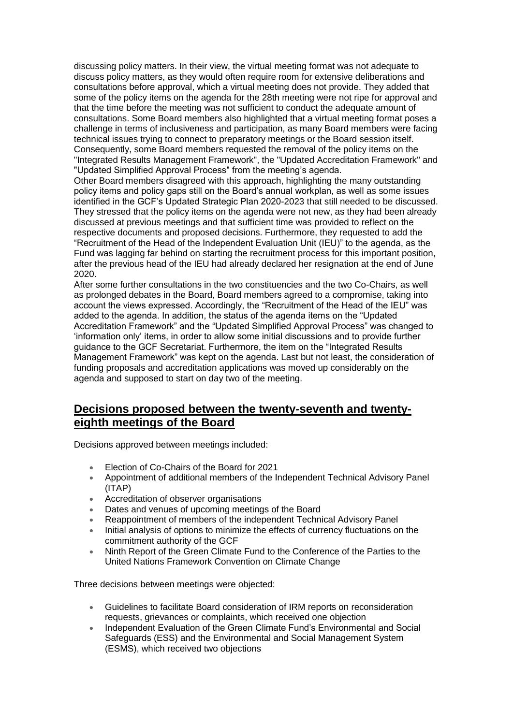discussing policy matters. In their view, the virtual meeting format was not adequate to discuss policy matters, as they would often require room for extensive deliberations and consultations before approval, which a virtual meeting does not provide. They added that some of the policy items on the agenda for the 28th meeting were not ripe for approval and that the time before the meeting was not sufficient to conduct the adequate amount of consultations. Some Board members also highlighted that a virtual meeting format poses a challenge in terms of inclusiveness and participation, as many Board members were facing technical issues trying to connect to preparatory meetings or the Board session itself. Consequently, some Board members requested the removal of the policy items on the "Integrated Results Management Framework", the "Updated Accreditation Framework" and "Updated Simplified Approval Process" from the meeting's agenda.

Other Board members disagreed with this approach, highlighting the many outstanding policy items and policy gaps still on the Board's annual workplan, as well as some issues identified in the GCF's Updated Strategic Plan 2020-2023 that still needed to be discussed. They stressed that the policy items on the agenda were not new, as they had been already discussed at previous meetings and that sufficient time was provided to reflect on the respective documents and proposed decisions. Furthermore, they requested to add the "Recruitment of the Head of the Independent Evaluation Unit (IEU)" to the agenda, as the Fund was lagging far behind on starting the recruitment process for this important position, after the previous head of the IEU had already declared her resignation at the end of June 2020.

After some further consultations in the two constituencies and the two Co-Chairs, as well as prolonged debates in the Board, Board members agreed to a compromise, taking into account the views expressed. Accordingly, the "Recruitment of the Head of the IEU" was added to the agenda. In addition, the status of the agenda items on the "Updated Accreditation Framework" and the "Updated Simplified Approval Process" was changed to 'information only' items, in order to allow some initial discussions and to provide further guidance to the GCF Secretariat. Furthermore, the item on the "Integrated Results Management Framework" was kept on the agenda. Last but not least, the consideration of funding proposals and accreditation applications was moved up considerably on the agenda and supposed to start on day two of the meeting.

#### **Decisions proposed between the twenty-seventh and twentyeighth meetings of the Board**

Decisions approved between meetings included:

- Election of Co-Chairs of the Board for 2021
- Appointment of additional members of the Independent Technical Advisory Panel (ITAP)
- Accreditation of observer organisations
- Dates and venues of upcoming meetings of the Board
- Reappointment of members of the independent Technical Advisory Panel
- Initial analysis of options to minimize the effects of currency fluctuations on the commitment authority of the GCF
- Ninth Report of the Green Climate Fund to the Conference of the Parties to the United Nations Framework Convention on Climate Change

Three decisions between meetings were objected:

- Guidelines to facilitate Board consideration of IRM reports on reconsideration requests, grievances or complaints, which received one objection
- Independent Evaluation of the Green Climate Fund's Environmental and Social Safeguards (ESS) and the Environmental and Social Management System (ESMS), which received two objections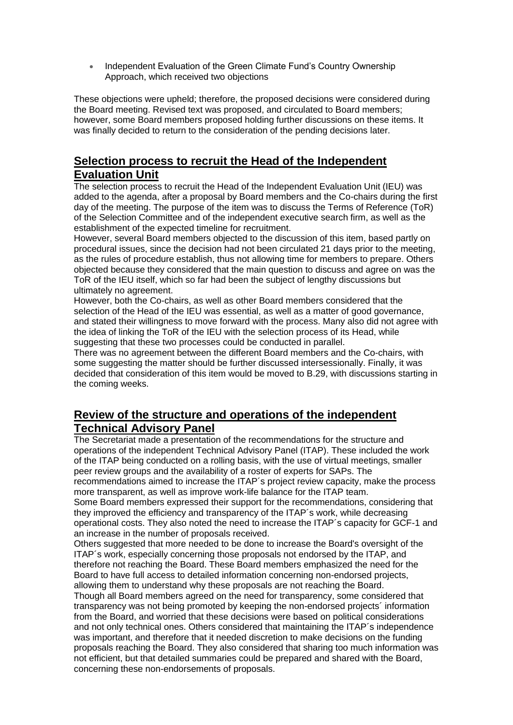Independent Evaluation of the Green Climate Fund's Country Ownership Approach, which received two objections

These objections were upheld; therefore, the proposed decisions were considered during the Board meeting. Revised text was proposed, and circulated to Board members; however, some Board members proposed holding further discussions on these items. It was finally decided to return to the consideration of the pending decisions later.

## **Selection process to recruit the Head of the Independent Evaluation Unit**

The selection process to recruit the Head of the Independent Evaluation Unit (IEU) was added to the agenda, after a proposal by Board members and the Co-chairs during the first day of the meeting. The purpose of the item was to discuss the Terms of Reference (ToR) of the Selection Committee and of the independent executive search firm, as well as the establishment of the expected timeline for recruitment.

However, several Board members objected to the discussion of this item, based partly on procedural issues, since the decision had not been circulated 21 days prior to the meeting, as the rules of procedure establish, thus not allowing time for members to prepare. Others objected because they considered that the main question to discuss and agree on was the ToR of the IEU itself, which so far had been the subject of lengthy discussions but ultimately no agreement.

However, both the Co-chairs, as well as other Board members considered that the selection of the Head of the IEU was essential, as well as a matter of good governance, and stated their willingness to move forward with the process. Many also did not agree with the idea of linking the ToR of the IEU with the selection process of its Head, while suggesting that these two processes could be conducted in parallel.

There was no agreement between the different Board members and the Co-chairs, with some suggesting the matter should be further discussed intersessionally. Finally, it was decided that consideration of this item would be moved to B.29, with discussions starting in the coming weeks.

#### **Review of the structure and operations of the independent Technical Advisory Panel**

The Secretariat made a presentation of the recommendations for the structure and operations of the independent Technical Advisory Panel (ITAP). These included the work of the ITAP being conducted on a rolling basis, with the use of virtual meetings, smaller peer review groups and the availability of a roster of experts for SAPs. The recommendations aimed to increase the ITAP´s project review capacity, make the process

more transparent, as well as improve work-life balance for the ITAP team. Some Board members expressed their support for the recommendations, considering that they improved the efficiency and transparency of the ITAP´s work, while decreasing operational costs. They also noted the need to increase the ITAP´s capacity for GCF-1 and an increase in the number of proposals received.

Others suggested that more needed to be done to increase the Board's oversight of the ITAP´s work, especially concerning those proposals not endorsed by the ITAP, and therefore not reaching the Board. These Board members emphasized the need for the Board to have full access to detailed information concerning non-endorsed projects, allowing them to understand why these proposals are not reaching the Board.

Though all Board members agreed on the need for transparency, some considered that transparency was not being promoted by keeping the non-endorsed projects´ information from the Board, and worried that these decisions were based on political considerations and not only technical ones. Others considered that maintaining the ITAP´s independence was important, and therefore that it needed discretion to make decisions on the funding proposals reaching the Board. They also considered that sharing too much information was not efficient, but that detailed summaries could be prepared and shared with the Board, concerning these non-endorsements of proposals.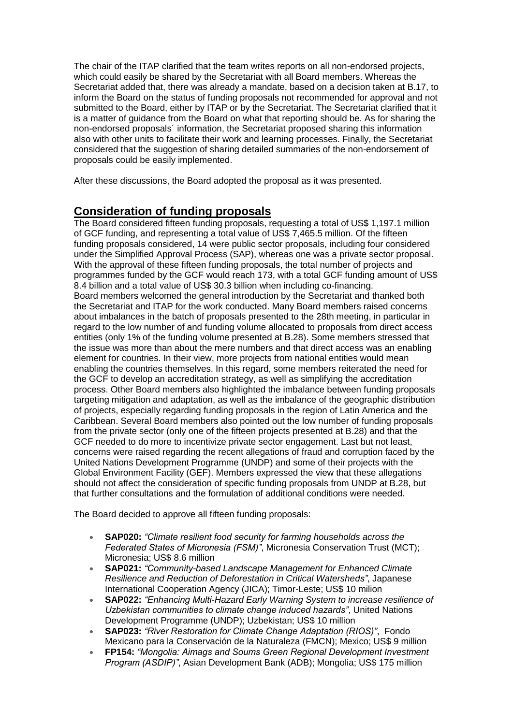The chair of the ITAP clarified that the team writes reports on all non-endorsed projects, which could easily be shared by the Secretariat with all Board members. Whereas the Secretariat added that, there was already a mandate, based on a decision taken at B.17, to inform the Board on the status of funding proposals not recommended for approval and not submitted to the Board, either by ITAP or by the Secretariat. The Secretariat clarified that it is a matter of guidance from the Board on what that reporting should be. As for sharing the non-endorsed proposals´ information, the Secretariat proposed sharing this information also with other units to facilitate their work and learning processes. Finally, the Secretariat considered that the suggestion of sharing detailed summaries of the non-endorsement of proposals could be easily implemented.

After these discussions, the Board adopted the proposal as it was presented.

#### **Consideration of funding proposals**

The Board considered fifteen funding proposals, requesting a total of US\$ 1,197.1 million of GCF funding, and representing a total value of US\$ 7,465.5 million. Of the fifteen funding proposals considered, 14 were public sector proposals, including four considered under the Simplified Approval Process (SAP), whereas one was a private sector proposal. With the approval of these fifteen funding proposals, the total number of projects and programmes funded by the GCF would reach 173, with a total GCF funding amount of US\$ 8.4 billion and a total value of US\$ 30.3 billion when including co-financing. Board members welcomed the general introduction by the Secretariat and thanked both the Secretariat and ITAP for the work conducted. Many Board members raised concerns about imbalances in the batch of proposals presented to the 28th meeting, in particular in regard to the low number of and funding volume allocated to proposals from direct access entities (only 1% of the funding volume presented at B.28). Some members stressed that the issue was more than about the mere numbers and that direct access was an enabling element for countries. In their view, more projects from national entities would mean enabling the countries themselves. In this regard, some members reiterated the need for the GCF to develop an accreditation strategy, as well as simplifying the accreditation process. Other Board members also highlighted the imbalance between funding proposals targeting mitigation and adaptation, as well as the imbalance of the geographic distribution of projects, especially regarding funding proposals in the region of Latin America and the Caribbean. Several Board members also pointed out the low number of funding proposals from the private sector (only one of the fifteen projects presented at B.28) and that the GCF needed to do more to incentivize private sector engagement. Last but not least, concerns were raised regarding the recent allegations of fraud and corruption faced by the United Nations Development Programme (UNDP) and some of their projects with the Global Environment Facility (GEF). Members expressed the view that these allegations should not affect the consideration of specific funding proposals from UNDP at B.28, but that further consultations and the formulation of additional conditions were needed.

The Board decided to approve all fifteen funding proposals:

- **SAP020:** *"Climate resilient food security for farming households across the Federated States of Micronesia (FSM)"*, Micronesia Conservation Trust (MCT); Micronesia; US\$ 8.6 million
- **SAP021:** *"Community-based Landscape Management for Enhanced Climate Resilience and Reduction of Deforestation in Critical Watersheds"*, Japanese International Cooperation Agency (JICA): Timor-Leste: US\$ 10 milion
- **SAP022:** *"Enhancing Multi-Hazard Early Warning System to increase resilience of Uzbekistan communities to climate change induced hazards"*, United Nations Development Programme (UNDP); Uzbekistan; US\$ 10 million
- **SAP023:** *"River Restoration for Climate Change Adaptation (RIOS)"*, Fondo Mexicano para la Conservación de la Naturaleza (FMCN); Mexico; US\$ 9 million
- **FP154:** *"Mongolia: Aimags and Soums Green Regional Development Investment Program (ASDIP)"*, Asian Development Bank (ADB); Mongolia; US\$ 175 million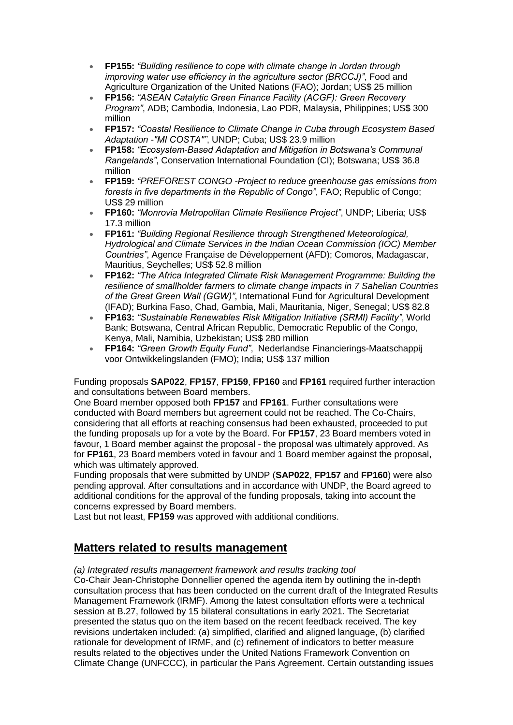- **FP155:** *"Building resilience to cope with climate change in Jordan through improving water use efficiency in the agriculture sector (BRCCJ)"*, Food and Agriculture Organization of the United Nations (FAO); Jordan; US\$ 25 million
- **FP156:** *"ASEAN Catalytic Green Finance Facility (ACGF): Green Recovery Program"*, ADB; Cambodia, Indonesia, Lao PDR, Malaysia, Philippines; US\$ 300 million
- **FP157:** *"Coastal Resilience to Climate Change in Cuba through Ecosystem Based Adaptation -"MI COSTA""*, UNDP; Cuba; US\$ 23.9 million
- **FP158:** *"Ecosystem-Based Adaptation and Mitigation in Botswana's Communal Rangelands"*, Conservation International Foundation (CI); Botswana; US\$ 36.8 million
- **FP159:** *"PREFOREST CONGO -Project to reduce greenhouse gas emissions from forests in five departments in the Republic of Congo"*, FAO; Republic of Congo; US\$ 29 million
- **FP160:** *"Monrovia Metropolitan Climate Resilience Project"*, UNDP; Liberia; US\$ 17.3 million
- **FP161:** *"Building Regional Resilience through Strengthened Meteorological, Hydrological and Climate Services in the Indian Ocean Commission (IOC) Member Countries"*, Agence Française de Développement (AFD); Comoros, Madagascar, Mauritius, Seychelles; US\$ 52.8 million
- **FP162:** *"The Africa Integrated Climate Risk Management Programme: Building the resilience of smallholder farmers to climate change impacts in 7 Sahelian Countries of the Great Green Wall (GGW)"*, International Fund for Agricultural Development (IFAD); Burkina Faso, Chad, Gambia, Mali, Mauritania, Niger, Senegal; US\$ 82.8
- **FP163:** *"Sustainable Renewables Risk Mitigation Initiative (SRMI) Facility"*, World Bank; Botswana, Central African Republic, Democratic Republic of the Congo, Kenya, Mali, Namibia, Uzbekistan; US\$ 280 million
- **FP164:** *"Green Growth Equity Fund"*, Nederlandse Financierings-Maatschappij voor Ontwikkelingslanden (FMO); India; US\$ 137 million

Funding proposals **SAP022**, **FP157**, **FP159**, **FP160** and **FP161** required further interaction and consultations between Board members.

One Board member opposed both **FP157** and **FP161**. Further consultations were conducted with Board members but agreement could not be reached. The Co-Chairs, considering that all efforts at reaching consensus had been exhausted, proceeded to put the funding proposals up for a vote by the Board. For **FP157**, 23 Board members voted in favour, 1 Board member against the proposal - the proposal was ultimately approved. As for **FP161**, 23 Board members voted in favour and 1 Board member against the proposal, which was ultimately approved.

Funding proposals that were submitted by UNDP (**SAP022**, **FP157** and **FP160**) were also pending approval. After consultations and in accordance with UNDP, the Board agreed to additional conditions for the approval of the funding proposals, taking into account the concerns expressed by Board members.

Last but not least, **FP159** was approved with additional conditions.

### **Matters related to results management**

#### *(a) Integrated results management framework and results tracking tool*

Co-Chair Jean-Christophe Donnellier opened the agenda item by outlining the in-depth consultation process that has been conducted on the current draft of the Integrated Results Management Framework (IRMF). Among the latest consultation efforts were a technical session at B.27, followed by 15 bilateral consultations in early 2021. The Secretariat presented the status quo on the item based on the recent feedback received. The key revisions undertaken included: (a) simplified, clarified and aligned language, (b) clarified rationale for development of IRMF, and (c) refinement of indicators to better measure results related to the objectives under the United Nations Framework Convention on Climate Change (UNFCCC), in particular the Paris Agreement. Certain outstanding issues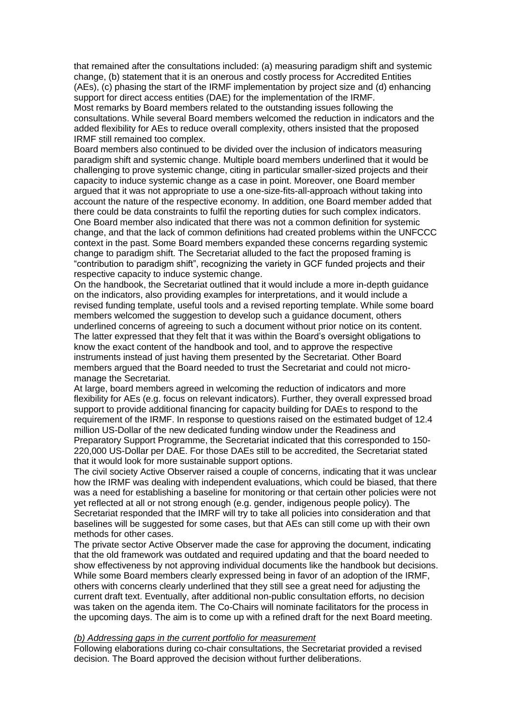that remained after the consultations included: (a) measuring paradigm shift and systemic change, (b) statement that it is an onerous and costly process for Accredited Entities (AEs), (c) phasing the start of the IRMF implementation by project size and (d) enhancing support for direct access entities (DAE) for the implementation of the IRMF. Most remarks by Board members related to the outstanding issues following the

consultations. While several Board members welcomed the reduction in indicators and the added flexibility for AEs to reduce overall complexity, others insisted that the proposed IRMF still remained too complex.

Board members also continued to be divided over the inclusion of indicators measuring paradigm shift and systemic change. Multiple board members underlined that it would be challenging to prove systemic change, citing in particular smaller-sized projects and their capacity to induce systemic change as a case in point. Moreover, one Board member argued that it was not appropriate to use a one-size-fits-all-approach without taking into account the nature of the respective economy. In addition, one Board member added that there could be data constraints to fulfil the reporting duties for such complex indicators. One Board member also indicated that there was not a common definition for systemic change, and that the lack of common definitions had created problems within the UNFCCC context in the past. Some Board members expanded these concerns regarding systemic change to paradigm shift. The Secretariat alluded to the fact the proposed framing is "contribution to paradigm shift", recognizing the variety in GCF funded projects and their respective capacity to induce systemic change.

On the handbook, the Secretariat outlined that it would include a more in-depth guidance on the indicators, also providing examples for interpretations, and it would include a revised funding template, useful tools and a revised reporting template. While some board members welcomed the suggestion to develop such a guidance document, others underlined concerns of agreeing to such a document without prior notice on its content. The latter expressed that they felt that it was within the Board's oversight obligations to know the exact content of the handbook and tool, and to approve the respective instruments instead of just having them presented by the Secretariat. Other Board members argued that the Board needed to trust the Secretariat and could not micromanage the Secretariat.

At large, board members agreed in welcoming the reduction of indicators and more flexibility for AEs (e.g. focus on relevant indicators). Further, they overall expressed broad support to provide additional financing for capacity building for DAEs to respond to the requirement of the IRMF. In response to questions raised on the estimated budget of 12.4 million US-Dollar of the new dedicated funding window under the Readiness and Preparatory Support Programme, the Secretariat indicated that this corresponded to 150- 220,000 US-Dollar per DAE. For those DAEs still to be accredited, the Secretariat stated that it would look for more sustainable support options.

The civil society Active Observer raised a couple of concerns, indicating that it was unclear how the IRMF was dealing with independent evaluations, which could be biased, that there was a need for establishing a baseline for monitoring or that certain other policies were not yet reflected at all or not strong enough (e.g. gender, indigenous people policy). The Secretariat responded that the IMRF will try to take all policies into consideration and that baselines will be suggested for some cases, but that AEs can still come up with their own methods for other cases.

The private sector Active Observer made the case for approving the document, indicating that the old framework was outdated and required updating and that the board needed to show effectiveness by not approving individual documents like the handbook but decisions. While some Board members clearly expressed being in favor of an adoption of the IRMF, others with concerns clearly underlined that they still see a great need for adjusting the current draft text. Eventually, after additional non-public consultation efforts, no decision was taken on the agenda item. The Co-Chairs will nominate facilitators for the process in the upcoming days. The aim is to come up with a refined draft for the next Board meeting.

#### *(b) Addressing gaps in the current portfolio for measurement*

Following elaborations during co-chair consultations, the Secretariat provided a revised decision. The Board approved the decision without further deliberations.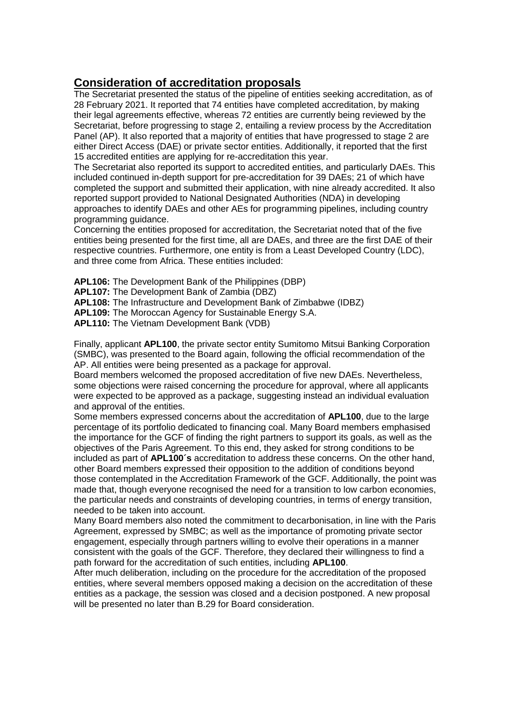#### **Consideration of accreditation proposals**

The Secretariat presented the status of the pipeline of entities seeking accreditation, as of 28 February 2021. It reported that 74 entities have completed accreditation, by making their legal agreements effective, whereas 72 entities are currently being reviewed by the Secretariat, before progressing to stage 2, entailing a review process by the Accreditation Panel (AP). It also reported that a majority of entities that have progressed to stage 2 are either Direct Access (DAE) or private sector entities. Additionally, it reported that the first 15 accredited entities are applying for re-accreditation this year.

The Secretariat also reported its support to accredited entities, and particularly DAEs. This included continued in-depth support for pre-accreditation for 39 DAEs; 21 of which have completed the support and submitted their application, with nine already accredited. It also reported support provided to National Designated Authorities (NDA) in developing approaches to identify DAEs and other AEs for programming pipelines, including country programming guidance.

Concerning the entities proposed for accreditation, the Secretariat noted that of the five entities being presented for the first time, all are DAEs, and three are the first DAE of their respective countries. Furthermore, one entity is from a Least Developed Country (LDC), and three come from Africa. These entities included:

**APL106:** The Development Bank of the Philippines (DBP)

**APL107:** The Development Bank of Zambia (DBZ)

**APL108:** The Infrastructure and Development Bank of Zimbabwe (IDBZ)

**APL109:** The Moroccan Agency for Sustainable Energy S.A.

**APL110:** The Vietnam Development Bank (VDB)

Finally, applicant **APL100**, the private sector entity Sumitomo Mitsui Banking Corporation (SMBC), was presented to the Board again, following the official recommendation of the AP. All entities were being presented as a package for approval.

Board members welcomed the proposed accreditation of five new DAEs. Nevertheless, some objections were raised concerning the procedure for approval, where all applicants were expected to be approved as a package, suggesting instead an individual evaluation and approval of the entities.

Some members expressed concerns about the accreditation of **APL100**, due to the large percentage of its portfolio dedicated to financing coal. Many Board members emphasised the importance for the GCF of finding the right partners to support its goals, as well as the objectives of the Paris Agreement. To this end, they asked for strong conditions to be included as part of **APL100´s** accreditation to address these concerns. On the other hand, other Board members expressed their opposition to the addition of conditions beyond those contemplated in the Accreditation Framework of the GCF. Additionally, the point was made that, though everyone recognised the need for a transition to low carbon economies, the particular needs and constraints of developing countries, in terms of energy transition, needed to be taken into account.

Many Board members also noted the commitment to decarbonisation, in line with the Paris Agreement, expressed by SMBC; as well as the importance of promoting private sector engagement, especially through partners willing to evolve their operations in a manner consistent with the goals of the GCF. Therefore, they declared their willingness to find a path forward for the accreditation of such entities, including **APL100**.

After much deliberation, including on the procedure for the accreditation of the proposed entities, where several members opposed making a decision on the accreditation of these entities as a package, the session was closed and a decision postponed. A new proposal will be presented no later than B.29 for Board consideration.